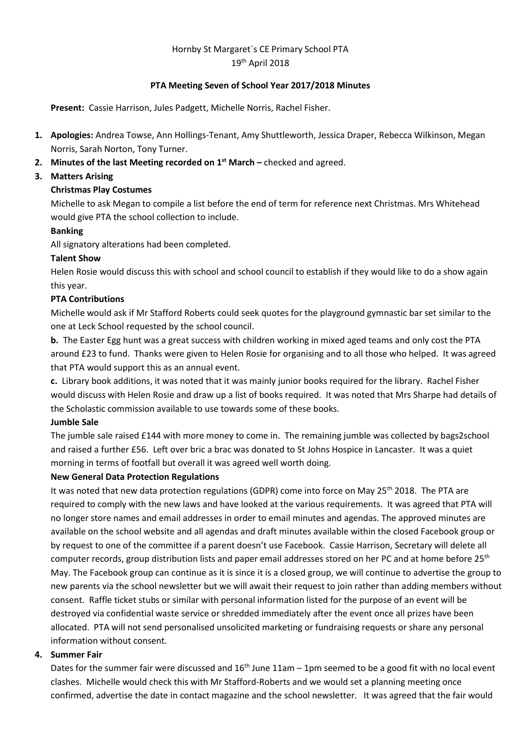# Hornby St Margaret`s CE Primary School PTA 19th April 2018

## **PTA Meeting Seven of School Year 2017/2018 Minutes**

**Present:** Cassie Harrison, Jules Padgett, Michelle Norris, Rachel Fisher.

- **1. Apologies:** Andrea Towse, Ann Hollings-Tenant, Amy Shuttleworth, Jessica Draper, Rebecca Wilkinson, Megan Norris, Sarah Norton, Tony Turner.
- **2. Minutes of the last Meeting recorded on 1 st March –** checked and agreed.

# **3. Matters Arising**

# **Christmas Play Costumes**

Michelle to ask Megan to compile a list before the end of term for reference next Christmas. Mrs Whitehead would give PTA the school collection to include.

## **Banking**

All signatory alterations had been completed.

## **Talent Show**

Helen Rosie would discuss this with school and school council to establish if they would like to do a show again this year.

## **PTA Contributions**

Michelle would ask if Mr Stafford Roberts could seek quotes for the playground gymnastic bar set similar to the one at Leck School requested by the school council.

**b.** The Easter Egg hunt was a great success with children working in mixed aged teams and only cost the PTA around £23 to fund. Thanks were given to Helen Rosie for organising and to all those who helped. It was agreed that PTA would support this as an annual event.

**c.** Library book additions, it was noted that it was mainly junior books required for the library. Rachel Fisher would discuss with Helen Rosie and draw up a list of books required. It was noted that Mrs Sharpe had details of the Scholastic commission available to use towards some of these books.

## **Jumble Sale**

The jumble sale raised £144 with more money to come in. The remaining jumble was collected by bags2school and raised a further £56. Left over bric a brac was donated to St Johns Hospice in Lancaster. It was a quiet morning in terms of footfall but overall it was agreed well worth doing.

## **New General Data Protection Regulations**

It was noted that new data protection regulations (GDPR) come into force on May 25<sup>th</sup> 2018. The PTA are required to comply with the new laws and have looked at the various requirements. It was agreed that PTA will no longer store names and email addresses in order to email minutes and agendas. The approved minutes are available on the school website and all agendas and draft minutes available within the closed Facebook group or by request to one of the committee if a parent doesn't use Facebook. Cassie Harrison, Secretary will delete all computer records, group distribution lists and paper email addresses stored on her PC and at home before 25<sup>th</sup> May. The Facebook group can continue as it is since it is a closed group, we will continue to advertise the group to new parents via the school newsletter but we will await their request to join rather than adding members without consent. Raffle ticket stubs or similar with personal information listed for the purpose of an event will be destroyed via confidential waste service or shredded immediately after the event once all prizes have been allocated. PTA will not send personalised unsolicited marketing or fundraising requests or share any personal information without consent.

## **4. Summer Fair**

Dates for the summer fair were discussed and  $16<sup>th</sup>$  June  $11am - 1pm$  seemed to be a good fit with no local event clashes. Michelle would check this with Mr Stafford-Roberts and we would set a planning meeting once confirmed, advertise the date in contact magazine and the school newsletter. It was agreed that the fair would